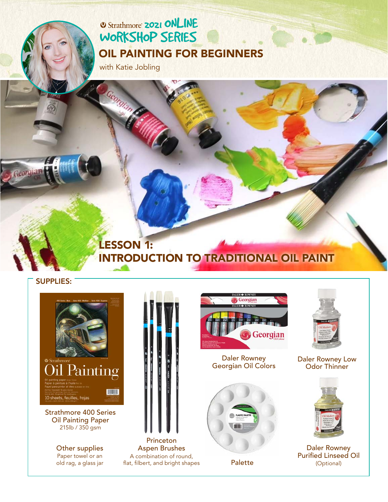## **2021 ONLINE** [WORKSHOP SERIES](https://www.strathmoreartiststudio.com/) [OIL PAINTING FOR BEGINNERS](https://www.strathmoreartiststudio.com/groups/workshop-4-2021/forum/)

with Katie Jobling

### LESSON 1: [INTRODUCTION TO TRADITIONAL OIL PAINT](https://www.strathmoreartiststudio.com/groups/workshop-3-2021/forum/)

#### SUPPLIES:

Georgia



Oil Painting Paper 215lb / 350 gsm

> Other supplies Paper towel or an old rag, a glass jar



Aspen Brushes A combination of round, flat, filbert, and bright shapes



Daler Rowney Daler Rowney Daler Rowney Low<br>[Georgian Oil Colors](https://www.daler-rowney.com/georgian-oil-paint/) Dolor Thinner



Palette



Odor Thinner



Daler Rowney [Purified Linseed Oil](https://www.daler-rowney.com/georgian-oil-diluents-mediums-varnishes/)  (Optional)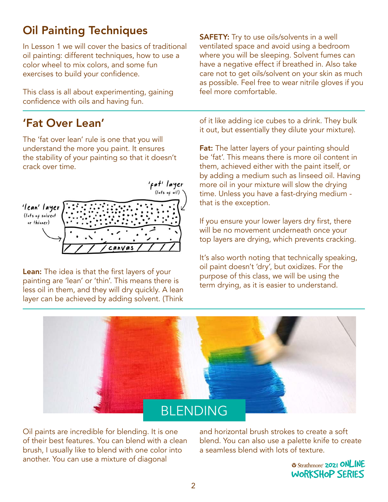## Oil Painting Techniques

In Lesson 1 we will cover the basics of traditional oil painting: different techniques, how to use a color wheel to mix colors, and some fun exercises to build your confidence.

This class is all about experimenting, gaining confidence with oils and having fun.

### 'Fat Over Lean'

The 'fat over lean' rule is one that you will understand the more you paint. It ensures the stability of your painting so that it doesn't crack over time.



Lean: The idea is that the first layers of your painting are 'lean' or 'thin'. This means there is less oil in them, and they will dry quickly. A lean layer can be achieved by adding solvent. (Think

**SAFETY:** Try to use oils/solvents in a well ventilated space and avoid using a bedroom where you will be sleeping. Solvent fumes can have a negative effect if breathed in. Also take care not to get oils/solvent on your skin as much as possible. Feel free to wear nitrile gloves if you feel more comfortable.

of it like adding ice cubes to a drink. They bulk it out, but essentially they dilute your mixture).

**Fat:** The latter layers of your painting should be 'fat'. This means there is more oil content in them, achieved either with the paint itself, or by adding a medium such as linseed oil. Having more oil in your mixture will slow the drying time. Unless you have a fast-drying medium that is the exception.

If you ensure your lower layers dry first, there will be no movement underneath once your top layers are drying, which prevents cracking.

It's also worth noting that technically speaking, oil paint doesn't 'dry', but oxidizes. For the purpose of this class, we will be using the term drying, as it is easier to understand.



Oil paints are incredible for blending. It is one of their best features. You can blend with a clean brush, I usually like to blend with one color into another. You can use a mixture of diagonal

and horizontal brush strokes to create a soft blend. You can also use a palette knife to create a seamless blend with lots of texture.

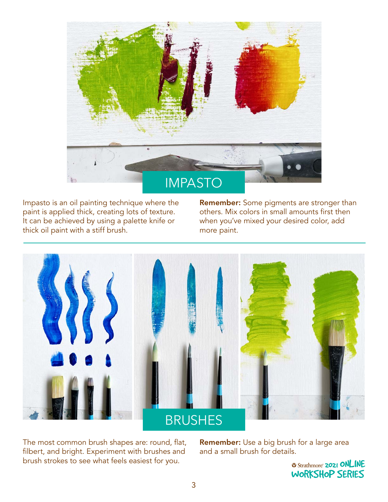

Impasto is an oil painting technique where the paint is applied thick, creating lots of texture. It can be achieved by using a palette knife or thick oil paint with a stiff brush.

Remember: Some pigments are stronger than others. Mix colors in small amounts first then when you've mixed your desired color, add more paint.



The most common brush shapes are: round, flat, filbert, and bright. Experiment with brushes and brush strokes to see what feels easiest for you.

Remember: Use a big brush for a large area and a small brush for details.

> **2021 ONLINE** [WORKSHOP SERIES](https://www.strathmoreartiststudio.com/)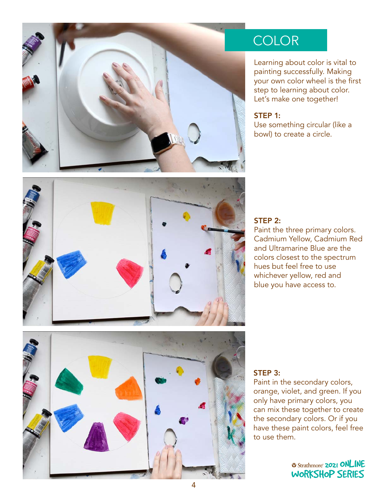

# **COLOR**

Learning about color is vital to painting successfully. Making your own color wheel is the first step to learning about color. Let's make one together!

#### STEP 1:

Use something circular (like a bowl) to create a circle.



#### STEP 2:

Paint the three primary colors. Cadmium Yellow, Cadmium Red and Ultramarine Blue are the colors closest to the spectrum hues but feel free to use whichever yellow, red and blue you have access to.



#### STEP 3:

the secondary colors. Or if you<br>have these paint colors, fool free. have these paint colors, feel free<br>to use them Paint in the secondary colors, orange, violet, and green. If you only have primary colors, you can mix these together to create to use them.

> *Q Strathmore* **2021 ONLINE** [WORKSHOP SERIES](https://www.strathmoreartiststudio.com/)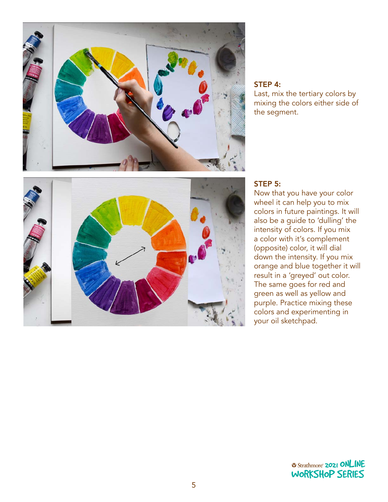

#### STEP 4:

Last, mix the tertiary colors by mixing the colors either side of the segment.



#### STEP 5:

Now that you have your color wheel it can help you to mix colors in future paintings. It will also be a guide to 'dulling' the intensity of colors. If you mix a color with it's complement (opposite) color, it will dial down the intensity. If you mix orange and blue together it will result in a 'greyed' out color. The same goes for red and green as well as yellow and purple. Practice mixing these colors and experimenting in your oil sketchpad.